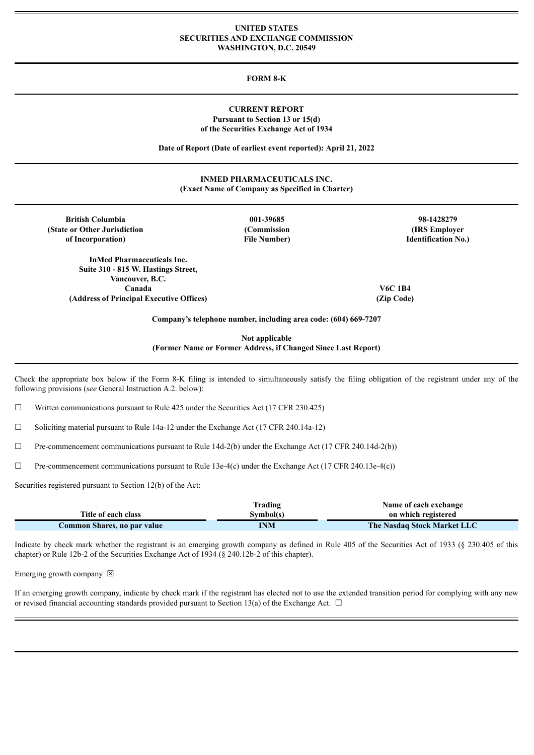### **UNITED STATES SECURITIES AND EXCHANGE COMMISSION WASHINGTON, D.C. 20549**

# **FORM 8-K**

## **CURRENT REPORT Pursuant to Section 13 or 15(d) of the Securities Exchange Act of 1934**

**Date of Report (Date of earliest event reported): April 21, 2022**

## **INMED PHARMACEUTICALS INC. (Exact Name of Company as Specified in Charter)**

| <b>British Columbia</b><br>(State or Other Jurisdiction) | 001-39685<br>(Commission | 98-1428279<br>(IRS Employer) |
|----------------------------------------------------------|--------------------------|------------------------------|
| of Incorporation)                                        | <b>File Number)</b>      | <b>Identification No.)</b>   |
| <b>InMed Pharmaceuticals Inc.</b>                        |                          |                              |
| Suite 310 - 815 W. Hastings Street,                      |                          |                              |
| Vancouver, B.C.                                          |                          |                              |
| Canada                                                   |                          | V6C 1B4                      |
| (Address of Principal Executive Offices)                 |                          | (Zip Code)                   |

**Not applicable (Former Name or Former Address, if Changed Since Last Report)**

Check the appropriate box below if the Form 8-K filing is intended to simultaneously satisfy the filing obligation of the registrant under any of the following provisions (*see* General Instruction A.2. below):

 $\Box$  Written communications pursuant to Rule 425 under the Securities Act (17 CFR 230.425)

 $\Box$  Soliciting material pursuant to Rule 14a-12 under the Exchange Act (17 CFR 240.14a-12)

 $\Box$  Pre-commencement communications pursuant to Rule 14d-2(b) under the Exchange Act (17 CFR 240.14d-2(b))

 $\Box$  Pre-commencement communications pursuant to Rule 13e-4(c) under the Exchange Act (17 CFR 240.13e-4(c))

Securities registered pursuant to Section 12(b) of the Act:

|                             | Trading   | Name of each exchange              |
|-----------------------------|-----------|------------------------------------|
| Title of each class         | Symbol(s) | on which registered                |
| Common Shares, no par value | INM       | <b>The Nasdaq Stock Market LLC</b> |

Indicate by check mark whether the registrant is an emerging growth company as defined in Rule 405 of the Securities Act of 1933 (§ 230.405 of this chapter) or Rule 12b-2 of the Securities Exchange Act of 1934 (§ 240.12b-2 of this chapter).

Emerging growth company  $\boxtimes$ 

If an emerging growth company, indicate by check mark if the registrant has elected not to use the extended transition period for complying with any new or revised financial accounting standards provided pursuant to Section 13(a) of the Exchange Act.  $\Box$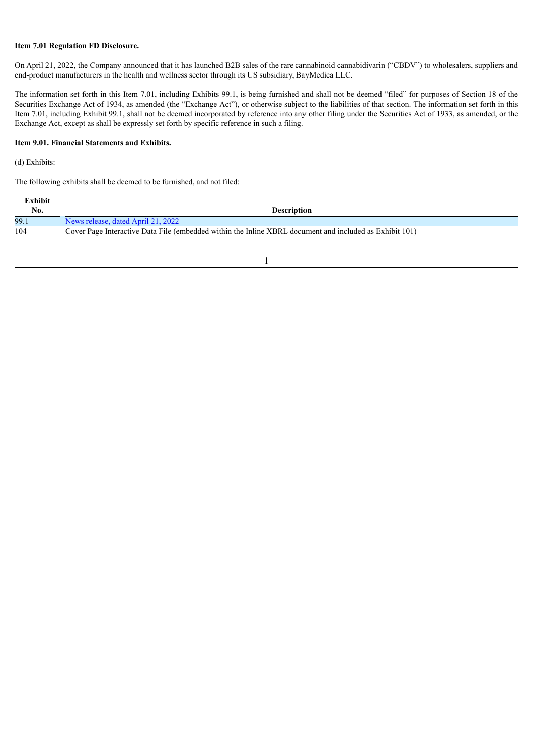# **Item 7.01 Regulation FD Disclosure.**

On April 21, 2022, the Company announced that it has launched B2B sales of the rare cannabinoid cannabidivarin ("CBDV") to wholesalers, suppliers and end-product manufacturers in the health and wellness sector through its US subsidiary, BayMedica LLC.

The information set forth in this Item 7.01, including Exhibits 99.1, is being furnished and shall not be deemed "filed" for purposes of Section 18 of the Securities Exchange Act of 1934, as amended (the "Exchange Act"), or otherwise subject to the liabilities of that section. The information set forth in this Item 7.01, including Exhibit 99.1, shall not be deemed incorporated by reference into any other filing under the Securities Act of 1933, as amended, or the Exchange Act, except as shall be expressly set forth by specific reference in such a filing.

# **Item 9.01. Financial Statements and Exhibits.**

(d) Exhibits:

The following exhibits shall be deemed to be furnished, and not filed:

| Exhibit |                                                                                                         |
|---------|---------------------------------------------------------------------------------------------------------|
| No.     | <b>Description</b>                                                                                      |
| 99.1    | News release, dated April 21, 2022                                                                      |
| 104     | Cover Page Interactive Data File (embedded within the Inline XBRL document and included as Exhibit 101) |

1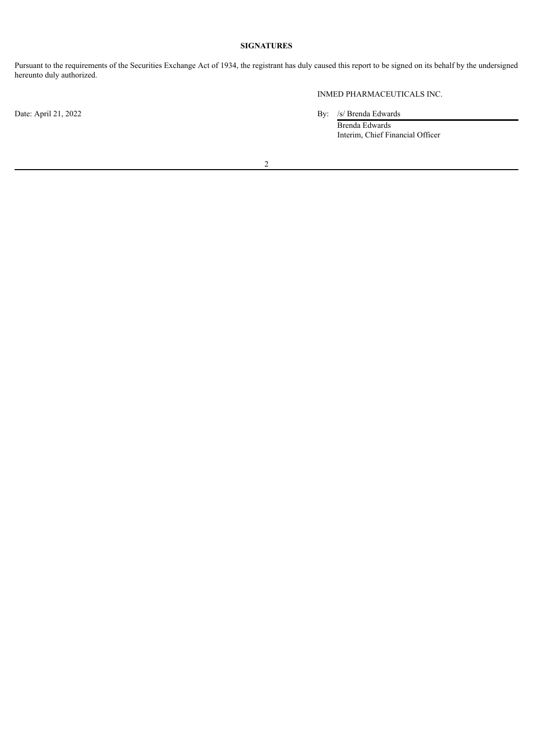# **SIGNATURES**

Pursuant to the requirements of the Securities Exchange Act of 1934, the registrant has duly caused this report to be signed on its behalf by the undersigned hereunto duly authorized.

INMED PHARMACEUTICALS INC.

Date: April 21, 2022 By: /s/ Brenda Edwards

Brenda Edwards Interim, Chief Financial Officer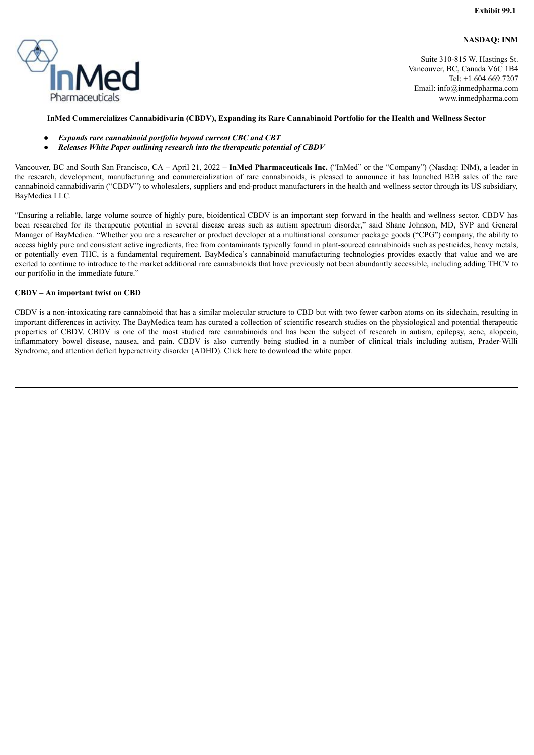**NASDAQ: INM**

<span id="page-3-0"></span>

Suite 310-815 W. Hastings St. Vancouver, BC, Canada V6C 1B4 Tel: +1.604.669.7207 Email: info@inmedpharma.com www.inmedpharma.com

### **InMed Commercializes Cannabidivarin (CBDV), Expanding its Rare Cannabinoid Portfolio for the Health and Wellness Sector**

- *Expands rare cannabinoid portfolio beyond current CBC and CBT*
- *Releases White Paper outlining research into the therapeutic potential of CBDV*

Vancouver, BC and South San Francisco, CA – April 21, 2022 – **InMed Pharmaceuticals Inc.** ("InMed" or the "Company") (Nasdaq: INM), a leader in the research, development, manufacturing and commercialization of rare cannabinoids, is pleased to announce it has launched B2B sales of the rare cannabinoid cannabidivarin ("CBDV") to wholesalers, suppliers and end-product manufacturers in the health and wellness sector through its US subsidiary, BayMedica LLC.

"Ensuring a reliable, large volume source of highly pure, bioidentical CBDV is an important step forward in the health and wellness sector. CBDV has been researched for its therapeutic potential in several disease areas such as autism spectrum disorder," said Shane Johnson, MD, SVP and General Manager of BayMedica. "Whether you are a researcher or product developer at a multinational consumer package goods ("CPG") company, the ability to access highly pure and consistent active ingredients, free from contaminants typically found in plant-sourced cannabinoids such as pesticides, heavy metals, or potentially even THC, is a fundamental requirement. BayMedica's cannabinoid manufacturing technologies provides exactly that value and we are excited to continue to introduce to the market additional rare cannabinoids that have previously not been abundantly accessible, including adding THCV to our portfolio in the immediate future."

### **CBDV – An important twist on CBD**

CBDV is a non-intoxicating rare cannabinoid that has a similar molecular structure to CBD but with two fewer carbon atoms on its sidechain, resulting in important differences in activity. The BayMedica team has curated a collection of scientific research studies on the physiological and potential therapeutic properties of CBDV. CBDV is one of the most studied rare cannabinoids and has been the subject of research in autism, epilepsy, acne, alopecia, inflammatory bowel disease, nausea, and pain. CBDV is also currently being studied in a number of clinical trials including autism, Prader-Willi Syndrome, and attention deficit hyperactivity disorder (ADHD). Click here to download the white paper.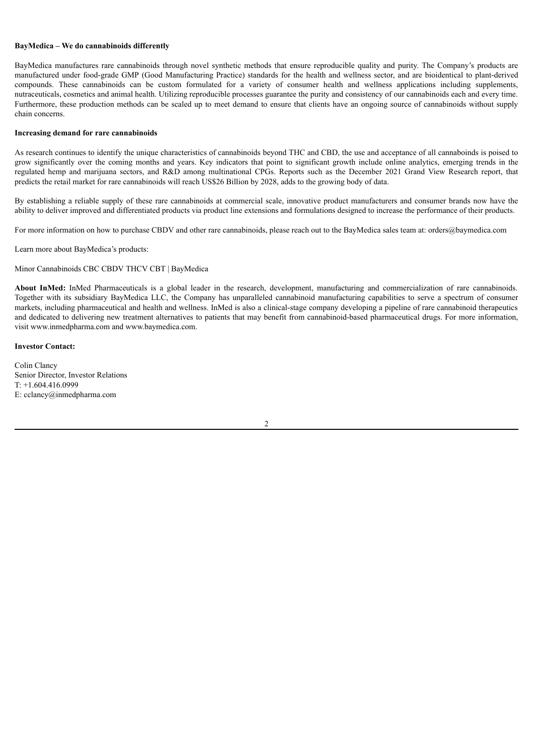### **BayMedica – We do cannabinoids differently**

BayMedica manufactures rare cannabinoids through novel synthetic methods that ensure reproducible quality and purity. The Company's products are manufactured under food-grade GMP (Good Manufacturing Practice) standards for the health and wellness sector, and are bioidentical to plant-derived compounds. These cannabinoids can be custom formulated for a variety of consumer health and wellness applications including supplements, nutraceuticals, cosmetics and animal health. Utilizing reproducible processes guarantee the purity and consistency of our cannabinoids each and every time. Furthermore, these production methods can be scaled up to meet demand to ensure that clients have an ongoing source of cannabinoids without supply chain concerns.

#### **Increasing demand for rare cannabinoids**

As research continues to identify the unique characteristics of cannabinoids beyond THC and CBD, the use and acceptance of all cannaboinds is poised to grow significantly over the coming months and years. Key indicators that point to significant growth include online analytics, emerging trends in the regulated hemp and marijuana sectors, and R&D among multinational CPGs. Reports such as the December 2021 Grand View Research report, that predicts the retail market for rare cannabinoids will reach US\$26 Billion by 2028, adds to the growing body of data.

By establishing a reliable supply of these rare cannabinoids at commercial scale, innovative product manufacturers and consumer brands now have the ability to deliver improved and differentiated products via product line extensions and formulations designed to increase the performance of their products.

For more information on how to purchase CBDV and other rare cannabinoids, please reach out to the BayMedica sales team at: orders@baymedica.com

Learn more about BayMedica's products:

Minor Cannabinoids CBC CBDV THCV CBT | BayMedica

About InMed: InMed Pharmaceuticals is a global leader in the research, development, manufacturing and commercialization of rare cannabinoids. Together with its subsidiary BayMedica LLC, the Company has unparalleled cannabinoid manufacturing capabilities to serve a spectrum of consumer markets, including pharmaceutical and health and wellness. InMed is also a clinical-stage company developing a pipeline of rare cannabinoid therapeutics and dedicated to delivering new treatment alternatives to patients that may benefit from cannabinoid-based pharmaceutical drugs. For more information, visit www.inmedpharma.com and www.baymedica.com.

### **Investor Contact:**

Colin Clancy Senior Director, Investor Relations T: +1.604.416.0999 E: cclancy@inmedpharma.com